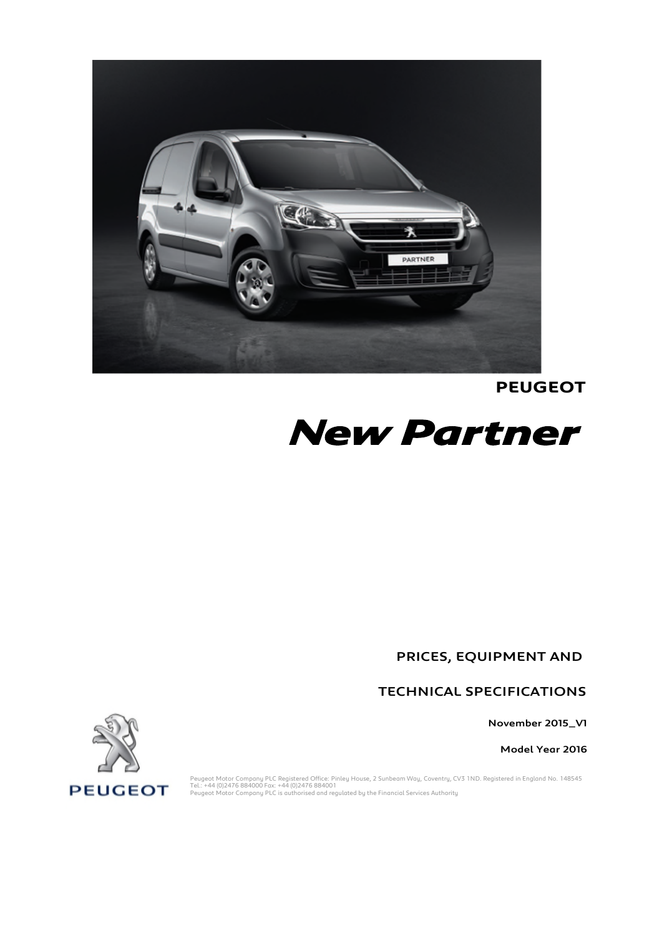

**PEUGEOT**



PRICES, EQUIPMENT AND

TECHNICAL SPECIFICATIONS

November 2015\_V1

Model Year 2016



Peugeot Motor Company PLC Registered Office: Pinley House, 2 Sunbeam Way, Coventry, CV3 1ND. Registered in England No. 148545<br>Tel.: +44 (0)2476 884000 Fax: +44 (0)2476 884001<br>Peugeot Motor Company PLC is authorised and reg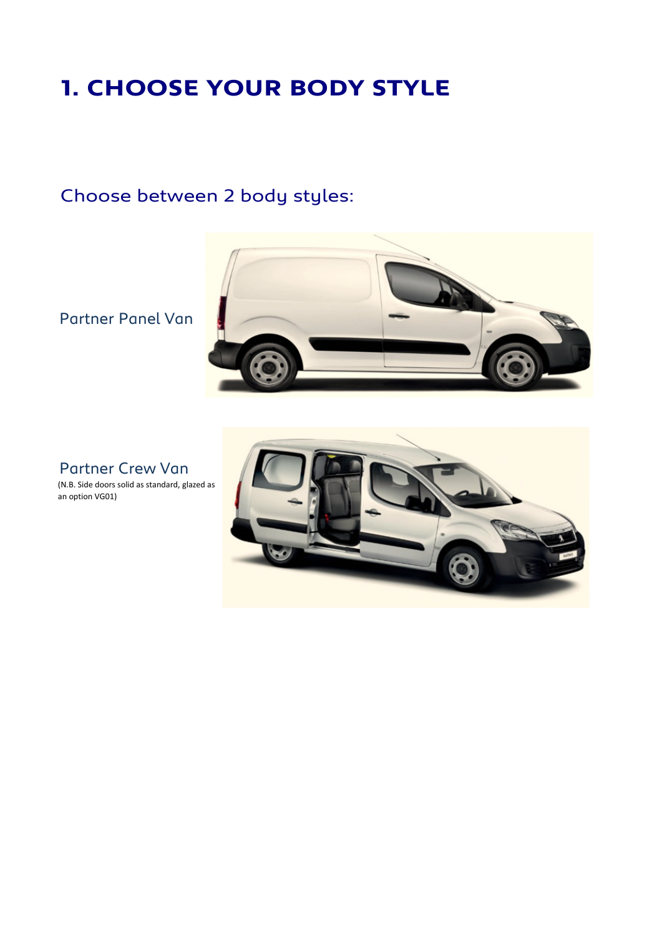## **1. CHOOSE YOUR BODY STYLE**

## Choose between 2 body styles:

Partner Panel Van



Partner Crew Van

(N.B. Side doors solid as standard, glazed as an option VG01)

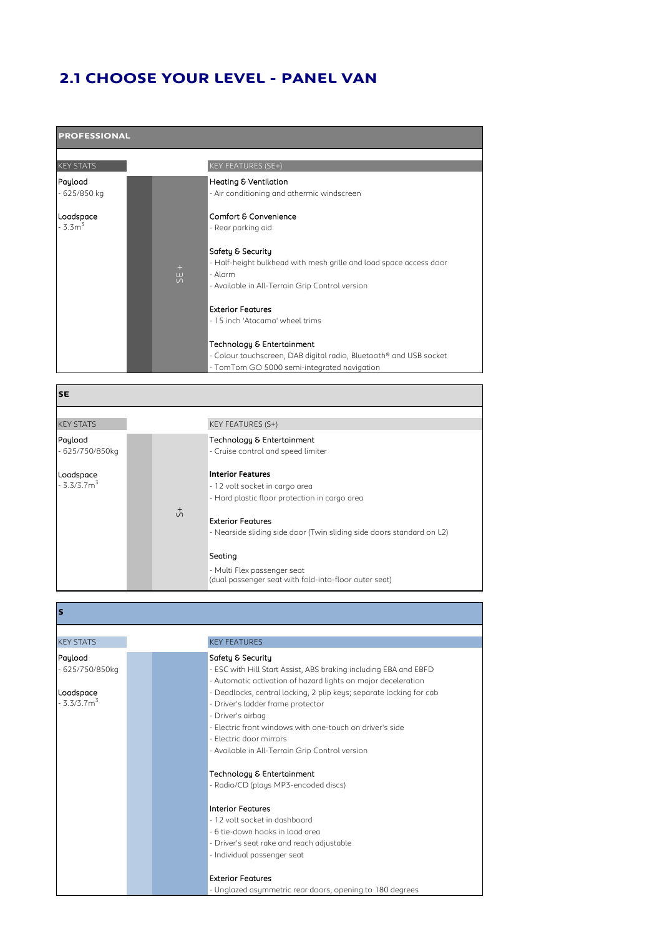### **2.1 CHOOSE YOUR LEVEL - PANEL VAN**

| <b>PROFESSIONAL</b>     |  |                            |                                                                                                                                                       |  |  |  |  |
|-------------------------|--|----------------------------|-------------------------------------------------------------------------------------------------------------------------------------------------------|--|--|--|--|
| <b>KEY STATS</b>        |  |                            | KEY FEATURES (SE+)                                                                                                                                    |  |  |  |  |
| Payload<br>- 625/850 kg |  |                            | <b>Heating &amp; Ventilation</b><br>- Air conditioning and athermic windscreen                                                                        |  |  |  |  |
| Loadspace<br>$-3.33$    |  |                            | Comfort & Convenience<br>- Rear parking aid                                                                                                           |  |  |  |  |
|                         |  | $+$<br>ш<br>$\overline{v}$ | Safety & Security<br>- Half-height bulkhead with mesh grille and load space access door<br>- Alarm<br>- Available in All-Terrain Grip Control version |  |  |  |  |
|                         |  |                            | <b>Exterior Features</b><br>- 15 inch 'Atacama' wheel trims                                                                                           |  |  |  |  |
|                         |  |                            | Technology & Entertainment<br>- Colour touchscreen, DAB digital radio, Bluetooth® and USB socket<br>- TomTom GO 5000 semi-integrated navigation       |  |  |  |  |
| <b>SE</b>               |  |                            |                                                                                                                                                       |  |  |  |  |
| <b>KEY STATS</b>        |  |                            | KEY FEATURES (S+)                                                                                                                                     |  |  |  |  |

KEY STATS KEY FEATURES (S+) Payload **Technology & Entertainment** - 625/750/850kg Loadspace **Interior Features**  $-3.3/3.7m<sup>3</sup>$ - 12 volt socket in cargo area - Hard plastic floor protection in cargo area Exterior Features - Nearside sliding side door (Twin sliding side doors standard on L2) Seating  $\ddot{5}$ - Cruise control and speed limiter - Multi Flex passenger seat (dual passenger seat with fold-into-floor outer seat)

**S**

KEY STATS KEY FEATURES Payload Safety & Security - 625/750/850kg - ESC with Hill Start Assist, ABS braking including EBA and EBFD - Automatic activation of hazard lights on major deceleration Loadspace **Communist Communist Communist Communist Communist Communist Communist Communist Communist Communist Communist Communist Communist Communist Communist Communist Communist Communist Communist Communist Communist C**  $-3.3/3.7m<sup>3</sup>$ - Driver's ladder frame protector - Driver's airbag - Electric front windows with one-touch on driver's side - Electric door mirrors - Available in All-Terrain Grip Control version Technology & Entertainment - Radio/CD (plays MP3-encoded discs) Interior Features - 12 volt socket in dashboard - 6 tie-down hooks in load area - Driver's seat rake and reach adjustable - Individual passenger seat Exterior Features - Unglazed asymmetric rear doors, opening to 180 degrees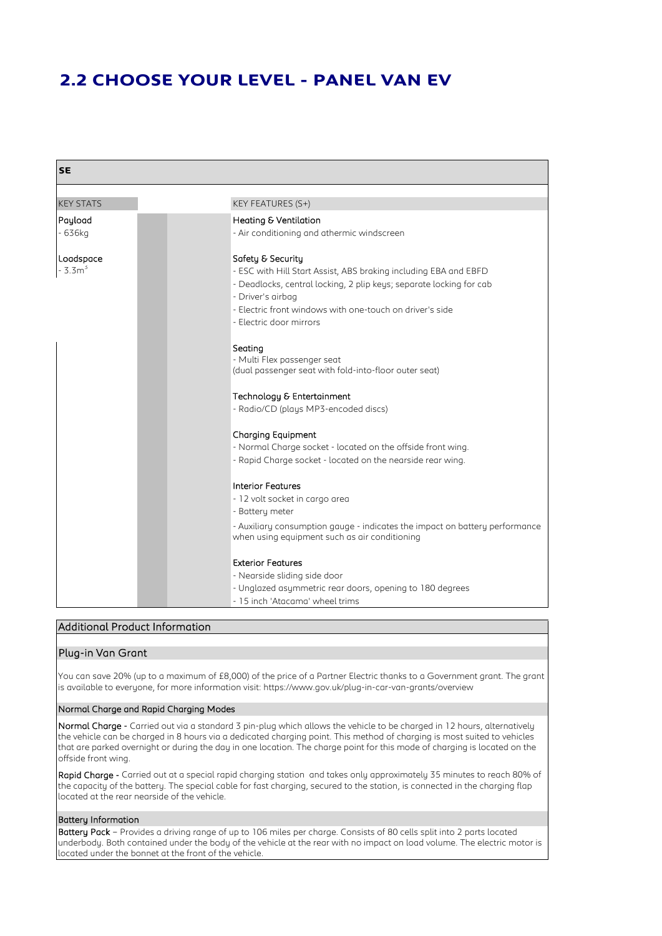### **2.2 CHOOSE YOUR LEVEL - PANEL VAN EV**

| <b>SE</b>             |                                                                                                                                                                                                                                                                                                                                                                          |
|-----------------------|--------------------------------------------------------------------------------------------------------------------------------------------------------------------------------------------------------------------------------------------------------------------------------------------------------------------------------------------------------------------------|
|                       |                                                                                                                                                                                                                                                                                                                                                                          |
| <b>KEY STATS</b>      | KEY FEATURES (S+)                                                                                                                                                                                                                                                                                                                                                        |
| Payload<br>$-636kg$   | Heating & Ventilation<br>- Air conditioning and athermic windscreen                                                                                                                                                                                                                                                                                                      |
| Loadspace<br>$-3.3m3$ | Safety & Security<br>- ESC with Hill Start Assist, ABS braking including EBA and EBFD<br>- Deadlocks, central locking, 2 plip keys; separate locking for cab<br>- Driver's airbag<br>- Electric front windows with one-touch on driver's side<br>- Electric door mirrors                                                                                                 |
|                       | Seating<br>- Multi Flex passenger seat<br>(dual passenger seat with fold-into-floor outer seat)<br>Technology & Entertainment<br>- Radio/CD (plays MP3-encoded discs)<br><b>Charging Equipment</b><br>- Normal Charge socket - located on the offside front wing.<br>- Rapid Charge socket - located on the nearside rear wing.                                          |
|                       | <b>Interior Features</b><br>- 12 volt socket in cargo area<br>- Battery meter<br>- Auxiliary consumption gauge - indicates the impact on battery performance<br>when using equipment such as air conditioning<br><b>Exterior Features</b><br>- Nearside sliding side door<br>- Unglazed asymmetric rear doors, opening to 180 degrees<br>- 15 inch 'Atacama' wheel trims |

### Additional Product Information

### Plug-in Van Grant

You can save 20% (up to a maximum of £8,000) of the price of a Partner Electric thanks to a Government grant. The grant is available to everyone, for more information visit: https://www.gov.uk/plug-in-car-van-grants/overview

### Normal Charge and Rapid Charging Modes

Normal Charge - Carried out via a standard 3 pin-plug which allows the vehicle to be charged in 12 hours, alternatively the vehicle can be charged in 8 hours via a dedicated charging point. This method of charging is most suited to vehicles that are parked overnight or during the day in one location. The charge point for this mode of charging is located on the offside front wing.

Rapid Charge - Carried out at a special rapid charging station and takes only approximately 35 minutes to reach 80% of the capacity of the battery. The special cable for fast charging, secured to the station, is connected in the charging flap located at the rear nearside of the vehicle.

### Battery Information

Battery Pack – Provides a driving range of up to 106 miles per charge. Consists of 80 cells split into 2 parts located underbody. Both contained under the body of the vehicle at the rear with no impact on load volume. The electric motor is located under the bonnet at the front of the vehicle.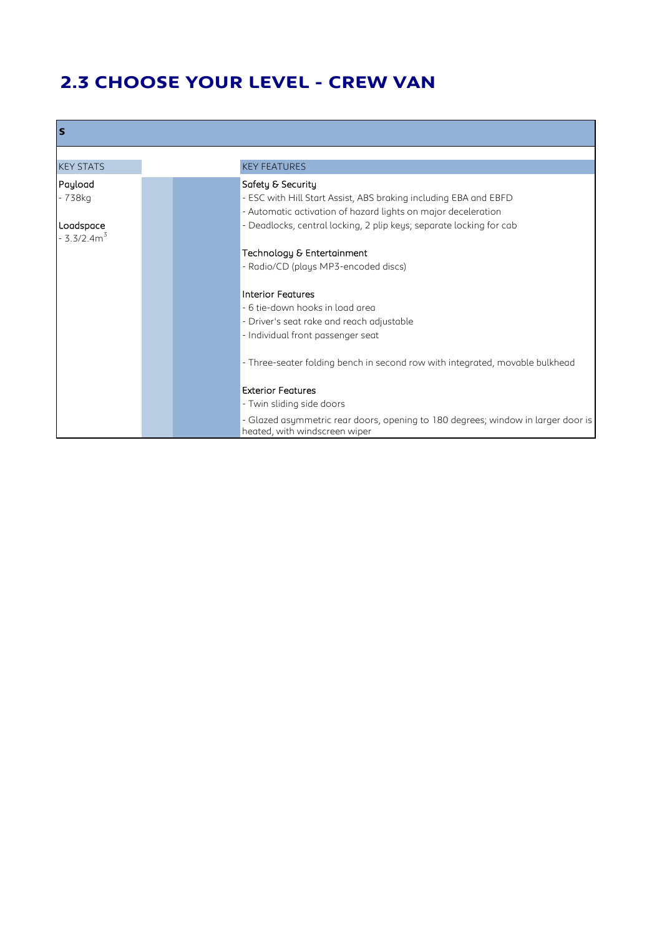## **2.3 CHOOSE YOUR LEVEL - CREW VAN**

| ls               |                                                                                  |
|------------------|----------------------------------------------------------------------------------|
|                  |                                                                                  |
| <b>KEY STATS</b> | <b>KEY FEATURES</b>                                                              |
| Payload          | Safety & Security                                                                |
| - 738kg          | - ESC with Hill Start Assist, ABS braking including EBA and EBFD                 |
|                  | - Automatic activation of hazard lights on major deceleration                    |
| Loadspace        | - Deadlocks, central locking, 2 plip keys; separate locking for cab              |
| $-3.3/2.4m3$     |                                                                                  |
|                  | Technology & Entertainment                                                       |
|                  | - Radio/CD (plays MP3-encoded discs)                                             |
|                  |                                                                                  |
|                  | Interior Features                                                                |
|                  | - 6 tie-down hooks in load area                                                  |
|                  | - Driver's seat rake and reach adjustable                                        |
|                  | - Individual front passenger seat                                                |
|                  |                                                                                  |
|                  | - Three-seater folding bench in second row with integrated, movable bulkhead     |
|                  |                                                                                  |
|                  | <b>Exterior Features</b>                                                         |
|                  | - Twin sliding side doors                                                        |
|                  | - Glazed asymmetric rear doors, opening to 180 degrees; window in larger door is |
|                  | heated, with windscreen wiper                                                    |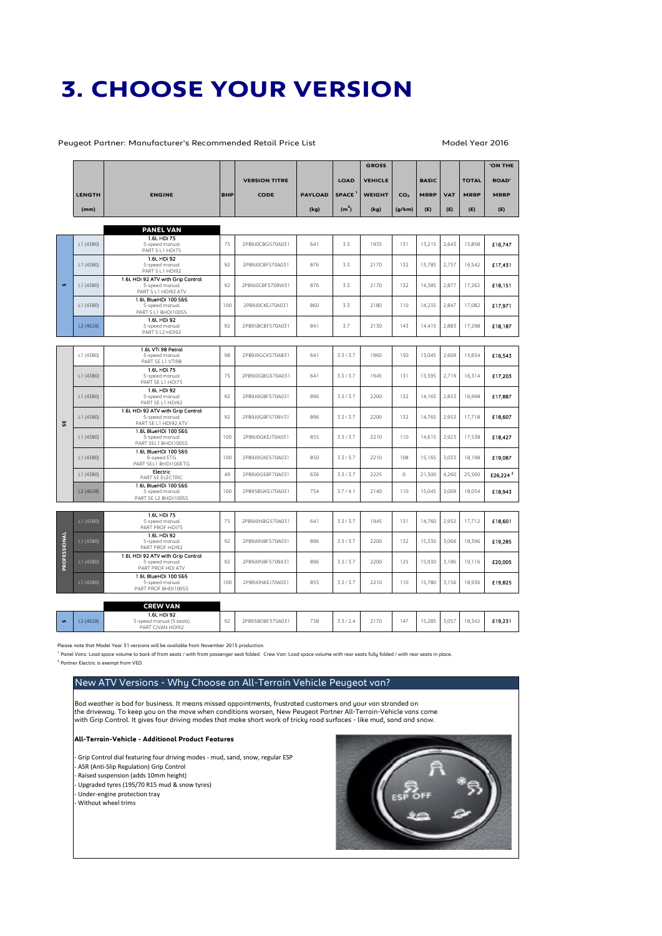## **3. CHOOSE YOUR VERSION**

Peugeot Partner: Manufacturer's Recommended Retail Price List Model Year 2016

|              |               |                                                                             |            |                      |                |                   | <b>GROSS</b>   |                 |              |            |              | <b>'ON THE</b>       |
|--------------|---------------|-----------------------------------------------------------------------------|------------|----------------------|----------------|-------------------|----------------|-----------------|--------------|------------|--------------|----------------------|
|              |               |                                                                             |            | <b>VERSION TITRE</b> |                | <b>LOAD</b>       | <b>VEHICLE</b> |                 | <b>BASIC</b> |            | <b>TOTAL</b> | <b>ROAD'</b>         |
|              | <b>LENGTH</b> | <b>ENGINE</b>                                                               | <b>BHP</b> | <b>CODE</b>          | <b>PAYLOAD</b> | <b>SPACE</b>      | <b>WEIGHT</b>  | CO <sub>2</sub> | <b>MRRP</b>  | <b>VAT</b> | <b>MRRP</b>  | <b>MRRP</b>          |
|              | (mm)          |                                                                             |            |                      | (kg)           | (m <sup>3</sup> ) | (kg)           | (g/km)          | (E)          | (E)        | (E)          | (E)                  |
|              |               |                                                                             |            |                      |                |                   |                |                 |              |            |              |                      |
|              |               | <b>PANEL VAN</b>                                                            |            |                      |                |                   |                |                 |              |            |              |                      |
|              | L1 (4380)     | 1.6L HDI 75<br>5-speed manual<br>PART S L1 HDI75                            | 75         | 2PB9J0CBG570A031     | 641            | 3.3               | 1935           | 131             | 13,215       | 2,643      | 15,858       | £16.747              |
|              | L1 (4380)     | 1.6L HDI 92<br>5-speed manual<br>PART S L1 HDI92                            | 92         | 2PB9J0CBF570A031     | 876            | 3.3               | 2170           | 132             | 13,785       | 2,757      | 16,542       | £17,431              |
| $\mathbf{v}$ | L1 (4380)     | 1.6L HDI 92 ATV with Grip Control<br>5-speed manual<br>PART S L1 HDI92 ATV  | 92         | 2PB9J0CBF5709W31     | 876            | 3.3               | 2170           | 132             | 14,385       | 2,877      | 17,262       | £18.151              |
|              | L1 (4380)     | 1.6L BlueHDi 100 SSS<br>5-speed manual<br>PART S L1 BHDI100SS               | 100        | 2PB9J0CKEJ70A031     | 860            | 3.3               | 2180           | 110             | 14,235       | 2,847      | 17,082       | £17,971              |
|              | L2 (4628)     | 1.6L HDI 92<br>5-speed manual<br>PART S L2 HDI92                            | 92         | 2PB95BCBF570A031     | 841            | 3.7               | 2130           | 143             | 14,415       | 2,883      | 17,298       | £18,187              |
|              |               |                                                                             |            |                      |                |                   |                |                 |              |            |              |                      |
|              | L1 (4380)     | 1.6L VTi 98 Petrol<br>5-speed manual<br>PART SE L1 VTI98                    | 98         | 2PB9J0GCK570A831     | 641            | 3.3/3.7           | 1960           | 150             | 13,045       | 2,609      | 15,654       | £16,543              |
|              | L1 (4380)     | 1.6L HDI 75<br>5-speed manual<br>PART SE L1 HDI75                           | 75         | 2PB9J0GBG570A031     | 641            | 3.3/3.7           | 1945           | 131             | 13,595       | 2,719      | 16,314       | £17,203              |
|              | L1 (4380)     | 1.6L HDI 92<br>5-speed manual<br>PART SE L1 HDI92                           | 92         | 2PB9J0GBF570A031     | 896            | 3.3/3.7           | 2200           | 132             | 14,165       | 2,833      | 16,998       | £17,887              |
| ι.           | L1 (4380)     | 1.6L HDI 92 ATV with Grip Control<br>5-speed manual<br>PART SE L1 HDI92 ATV | 92         | 2PB9J0GBF5709V31     | 896            | 3.3/3.7           | 2200           | 132             | 14,765       | 2,953      | 17,718       | £18,607              |
|              | L1 (4380)     | 1.6L BlueHDi 100 S&S<br>5-speed manual<br>PART SEL1 BHDI100SS               | 100        | 2PB9J0GKEJ70A031     | 855            | 3.3/3.7           | 2210           | 110             | 14,615       | 2,923      | 17,538       | £18,427              |
|              | L1 (4380)     | 1.6L BlueHDi 100 S&S<br>6-speed ETG<br>PART SEL1 BHDI100ETG                 | 100        | 2PB9J0GKES70A031     | 850            | 3.3/3.7           | 2210           | 108             | 15,165       | 3,033      | 18,198       | £19,087              |
|              | L1 (4380)     | Electric<br>PART SE ELECTRIC                                                | 49         | 2PB9J0GE8F70A031     | 636            | 3.3/3.7           | 2225           | $\circ$         | 21,300       | 4,260      | 25,560       | £26,224 <sup>2</sup> |
|              | L2 (4628)     | 1.6L BlueHDi 100 SSS<br>5-speed manual<br>PART SE L2 BHDI100SS              | 100        | 2PB95BGKEJ70A031     | 754            | 3.7/4.1           | 2140           | 110             | 15,045       | 3,009      | 18,054       | £18,943              |
|              |               |                                                                             |            |                      |                |                   |                |                 |              |            |              |                      |
|              | L1 (4380)     | 1.6L HDI 75<br>5-speed manual<br>PART PROF HDI75                            | 75         | 2PB9J0NBG570A031     | 641            | 3.3/3.7           | 1945           | 131             | 14,760       | 2,952      | 17,712       | £18,601              |
| PROFESSIONAL | LI(4380)      | 1.6L HDI 92<br>5-speed manual<br>PART PROF HDI92                            | 92         | 2PB9J0NBF570A031     | 896            | 3.3/3.7           | 2200           | 132             | 15,330       | 3,066      | 18,396       | £19,285              |
|              | LI(4380)      | 1.6L HDI 92 ATV with Grip Control<br>5-speed manual<br>PART PROF HDI ATV    | 92         | 2PB9J0NBF5709X31     | 896            | 3.3/3.7           | 2200           | 125             | 15,930       | 3,186      | 19,116       | £20,005              |
|              | L1 (4380)     | 1.6L BlueHDi 100 S&S<br>5-speed manual<br>PART PROF BHDI100SS               | 100        | 2PB9J0NKEJ70A031     | 855            | 3.3/3.7           | 2210           | 110             | 15,780       | 3,156      | 18,936       | £19,825              |
|              |               | <b>CREW VAN</b>                                                             |            |                      |                |                   |                |                 |              |            |              |                      |

| 14628 | 1.6L HDI 92<br>5-speed manual (5 seats)<br>PART C/VAN HDI92 | 92 | 2PB95BDBF570A031 | 738 | -----<br>5.572.4 | 2170 | 147 | 15,285 | 3.057 | 18.342 | £19.231 |
|-------|-------------------------------------------------------------|----|------------------|-----|------------------|------|-----|--------|-------|--------|---------|
|       |                                                             |    |                  |     |                  |      |     |        |       |        |         |

ease note that Model Year 31 versions will be available from November 2015 production.

<sup>1</sup> Panel Vans: Load space volume to back of front seats / with front passenger seat folded. Crew Van: Load space volume with rear seats fully folded / with rear seats in place. 2 Partner Electric is exempt from VED.

### New ATV Versions - Why Choose an All-Terrain Vehicle Peugeot van?

Bad weather is bad for business. It means missed appointments, frustrated customers and your van stranded on the driveway. To keep you on the move when conditions worsen, New Peugeot Partner All-Terrain-Vehicle vans come with Grip Control. It gives four driving modes that make short work of tricky road surfaces - like mud, sand and snow.

### **All-Terrain-Vehicle - Additional Product Features**

- Grip Control dial featuring four driving modes - mud, sand, snow, regular ESP - ASR (Anti-Slip Regulation) Grip Control - Raised suspension (adds 10mm height) - Upgraded tyres (195/70 R15 mud & snow tyres) - Under-engine protection tray - Without wheel trims

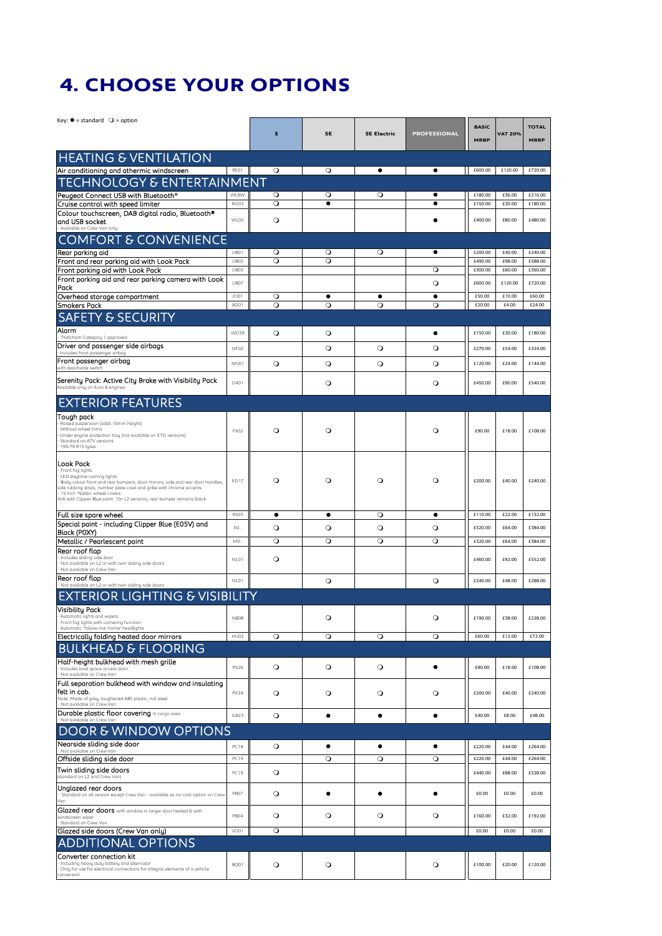## **4. CHOOSE YOUR OPTIONS**

| Key: $\bullet$ = standard ○ = option                                                                                                                   |                  |         |           |                    |                     |              |                |              |
|--------------------------------------------------------------------------------------------------------------------------------------------------------|------------------|---------|-----------|--------------------|---------------------|--------------|----------------|--------------|
|                                                                                                                                                        |                  | s       | SE        | <b>SE Electric</b> | <b>PROFESSIONAL</b> | <b>BASIC</b> | <b>VAT 20%</b> | <b>TOTAL</b> |
|                                                                                                                                                        |                  |         |           |                    |                     | <b>MRBP</b>  |                | <b>MRRP</b>  |
| <b>HEATING &amp; VENTILATION</b>                                                                                                                       |                  |         |           |                    |                     |              |                |              |
| Air conditioning and athermic windscreen                                                                                                               | REO1             | $\circ$ | $\circ$   | $\bullet$          | $\bullet$           | £600.00      | £120.00        | £720.00      |
| <u>TECHNOLOGY &amp; ENTERTAINMENT</u>                                                                                                                  |                  |         |           |                    |                     |              |                |              |
| Peugeot Connect USB with Bluetooth®                                                                                                                    | <b>WLRW</b>      | $\circ$ | $\circ$   | $\circ$            |                     | £180.00      | £36.00         | £216.00      |
| Cruise control with speed limiter<br>Colour touchscreen, DAB digital radio, Bluetooth®                                                                 | RG03             | $\circ$ | $\bullet$ |                    | $\bullet$           | £150.00      | £30.00         | £180.00      |
| and USB socket                                                                                                                                         | <b>WLOV</b>      | $\circ$ |           |                    |                     | £400.00      | £80.00         | £480.00      |
| Available on Crew Van onlu<br><b>COMFORT &amp; CONVENIENCE</b>                                                                                         |                  |         |           |                    |                     |              |                |              |
| Rear parking aid                                                                                                                                       | UB01             | $\circ$ | О         | O                  | ٠                   | £200.00      | £40.00         | £240.00      |
| Front and rear parking aid with Look Pack                                                                                                              | UB03             | $\circ$ | $\circ$   |                    |                     | £490.00      | £98.00         | £588.00      |
| Front parking aid with Look Pack                                                                                                                       | <b>UB03</b>      |         |           |                    | $\circ$             | £300.00      | £60.00         | £360.00      |
| Front parking aid and rear parking camera with Look<br>Pack                                                                                            | UB07             |         |           |                    | $\circ$             | £600.00      | £120.00        | £720.00      |
| Overhead storage compartment                                                                                                                           | JO01             | $\circ$ | $\bullet$ | $\bullet$          | $\bullet$           | £50.00       | £10.00         | £60.00       |
| <b>Smokers Pack</b>                                                                                                                                    | AD01             | $\circ$ | $\circ$   | $\circ$            | $\circ$             | £20.00       | £4.00          | £24.00       |
| <b>SAFETY &amp; SECURITY</b>                                                                                                                           |                  |         |           |                    |                     |              |                |              |
| Alarm<br>Thatcham Category 1 approved                                                                                                                  | WD39             | $\circ$ | $\circ$   |                    | $\bullet$           | £150.00      | £30.00         | £180.00      |
| Driver and passenger side airbags<br>Includes front passenger airbag                                                                                   | NF02             |         | $\circ$   | $\circ$            | $\circ$             | £270.00      | £54.00         | £324.00      |
| Front passenger airbag                                                                                                                                 | NN01             | $\circ$ | $\circ$   | $\circ$            | $\circ$             | £120.00      | £24.00         | £144.00      |
| with deactivate switch                                                                                                                                 |                  |         |           |                    |                     |              |                |              |
| Serenity Pack: Active City Brake with Visibility Pack<br>Available only on Euro 6 engines.                                                             | D401             |         | $\circ$   |                    | $\circ$             | £450.00      | £90.00         | £540.00      |
| <b>EXTERIOR FEATURES</b>                                                                                                                               |                  |         |           |                    |                     |              |                |              |
| Tough pack                                                                                                                                             |                  |         |           |                    |                     |              |                |              |
| Raised suspension (adds 10mm height)<br>Without wheel trims                                                                                            |                  |         |           |                    |                     |              |                |              |
| Under engine protection tray (not available on ETG versions)<br>Standard on ATV versions                                                               | FX02             | $\circ$ | $\circ$   |                    | $\circ$             | £90.00       | £18.00         | £108.00      |
| 195/70 R15 tyres                                                                                                                                       |                  |         |           |                    |                     |              |                |              |
| Look Pack                                                                                                                                              |                  |         |           |                    |                     |              |                |              |
| Front fog lights<br>LED daytime running lights                                                                                                         |                  |         |           |                    |                     |              |                |              |
| Body colour front and rear bumpers, door mirrors, side and rear door handles,<br>side rubbing strips, number plate cowl and grille with chrome accents | <b>ED17</b>      | $\circ$ | $\circ$   | $\circ$            | $\circ$             | £200.00      | £40.00         | £240.00      |
| 15 inch 'Natéo' wheel covers<br>N/A with Clipper Blue paint. On L2 versions, rear bumper remains black.                                                |                  |         |           |                    |                     |              |                |              |
| Full size spare wheel                                                                                                                                  | RS03             | ٠       | ٠         | $\circ$            | ٠                   | £110.00      | £22.00         | £132.00      |
| Special paint - including Clipper Blue (E05V) and                                                                                                      | EO.              | $\circ$ | $\circ$   | $\circ$            | $\circ$             | £320.00      | £64.00         | £384.00      |
| Black (POXY)<br>Metallic / Pearlescent paint                                                                                                           | MO.              | $\circ$ | $\circ$   | $\circ$            | $\circ$             | £320.00      | £64.00         | £384.00      |
| Rear roof flap                                                                                                                                         |                  |         |           |                    |                     |              |                |              |
| Includes sliding side door<br>Not available on L2 or with twin sliding side doors<br>Not available on Crew Van                                         | NL01             | $\circ$ |           |                    |                     | £460.00      | £92.00         | £552.00      |
| Rear roof flap                                                                                                                                         | NL01             |         | $\circ$   |                    | $\circ$             | £240.00      | £48.00         | £288.00      |
| Not available on L2 or with twin sliding side doors                                                                                                    |                  |         |           |                    |                     |              |                |              |
| <b>EXTERIOR LIGHTING &amp; VISIBILITY</b>                                                                                                              |                  |         |           |                    |                     |              |                |              |
| <b>Visibility Pack</b><br>Automatic lights and wipers                                                                                                  | <b>NB08</b>      |         | О         |                    | $\circ$             | £190.00      | £38.00         | £228.00      |
| Front fog lights with cornering function<br>Automatic 'follow-me-home' headlights                                                                      |                  |         |           |                    |                     |              |                |              |
| Electrically folding heated door mirrors                                                                                                               | HU02             | $\circ$ | $\circ$   | $\circ$            | $\circ$             | £60.00       | £12.00         | £72.00       |
| KHEAD & FLOORING<br>BU                                                                                                                                 |                  |         |           |                    |                     |              |                |              |
| Half-height bulkhead with mesh grille<br>Includes load space access door                                                                               | PX26             | $\circ$ | $\circ$   | $\circ$            | $\bullet$           | £90.00       | £18.00         | £108.00      |
| Not available on Crew Van<br>Full separation bulkhead with window and insulating                                                                       |                  |         |           |                    |                     |              |                |              |
| lfelt in cab.                                                                                                                                          | <b>PX34</b>      | $\circ$ | $\circ$   | $\circ$            | $\circ$             | £200.00      | £40.00         | £240.00      |
| Note: Made of grey, toughened ABS plastic, not steel<br>Not available on Crew Van                                                                      |                  |         |           |                    |                     |              |                |              |
| <b>Durable plastic floor covering</b> in cargo area<br>Not available on Crew Van                                                                       | GB23             | $\circ$ | $\bullet$ | ٠                  | ٠                   | £40.00       | £8.00          | £48.00       |
| <b>DOOR &amp; WINDOW OPTIONS</b>                                                                                                                       |                  |         |           |                    |                     |              |                |              |
| Nearside sliding side door                                                                                                                             | PC18             | $\circ$ | ٠         | ٠                  | ٠                   | £220.00      | £44.00         | £264.00      |
| Not available on Crew Van<br>Offside sliding side door                                                                                                 | PC19             |         | $\circ$   | $\circ$            | $\circ$             | £220.00      | £44.00         | £264.00      |
| Twin sliding side doors                                                                                                                                | <b>PC19</b>      | $\circ$ |           |                    |                     | £440.00      | £88.00         | £528.00      |
| (standard on L2 and Crew Van)                                                                                                                          |                  |         |           |                    |                     |              |                |              |
| Unglazed rear doors<br>Standard on all version except Crew Van - available as no-cost option on Crew                                                   | PB07             | $\circ$ | $\bullet$ | ٠                  | $\bullet$           | £0.00        | £0.00          | £0.00        |
| Glazed rear doors with window in larger door heated & with                                                                                             |                  |         |           |                    |                     |              |                |              |
| windscreen wiper<br>Standard on Crew Van                                                                                                               | PB <sub>04</sub> | $\circ$ | $\circ$   | $\circ$            | $\circ$             | £160.00      | £32.00         | £192.00      |
| Glazed side doors (Crew Van only)                                                                                                                      | VG01             | $\circ$ |           |                    |                     | £0.00        | £0.00          | £0.00        |
| <b>DNAL OPTIONS</b>                                                                                                                                    |                  |         |           |                    |                     |              |                |              |
| Converter connection kit                                                                                                                               |                  |         |           |                    |                     |              |                |              |
| Including heavy duty battery and alternator<br>Only for use for electrical connections for integral elements of a vehicle<br>conversion                | BQ01             | $\circ$ | $\circ$   |                    | $\circ$             | £100.00      | £20.00         | £120.00      |
|                                                                                                                                                        |                  |         |           |                    |                     |              |                |              |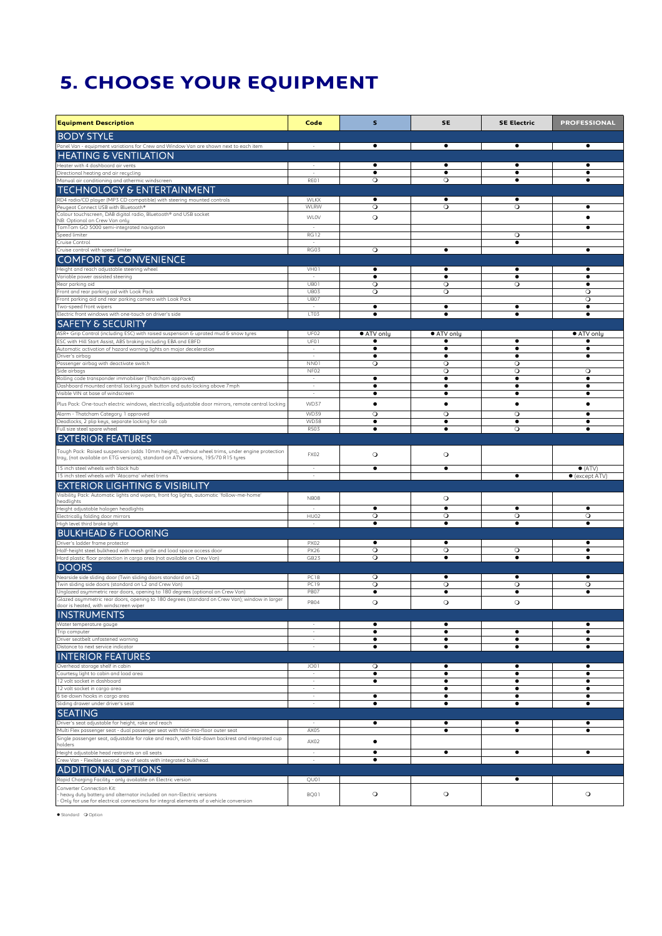## **5. CHOOSE YOUR EQUIPMENT**

| <b>Equipment Description</b>                                                                                                                                 | Code                               | s                       | <b>SE</b>               | <b>SE Electric</b>     | <b>PROFESSIONAL</b>                       |
|--------------------------------------------------------------------------------------------------------------------------------------------------------------|------------------------------------|-------------------------|-------------------------|------------------------|-------------------------------------------|
| <b>BODY STYLE</b>                                                                                                                                            |                                    |                         |                         |                        |                                           |
| Panel Van - equipment variations for Crew and Window Van are shown next to each item<br><b>HEATING &amp; VENTILATION</b>                                     |                                    |                         | $\bullet$               | ٠                      | $\bullet$                                 |
| Heater with 4 dashboard air vents<br>Directional heating and air recycling                                                                                   | $\sim$                             | $\bullet$               | ٠<br>$\bullet$          | $\bullet$              | $\bullet$                                 |
| Manual air conditioning and athermic windscreen                                                                                                              | REO1                               | $\circ$                 | $\circ$                 | $\bullet$              |                                           |
| <b>TECHNOLOGY &amp; ENTERTAINMENT</b><br>RD4 radio/CD player (MP3 CD compatible) with steering mounted controls                                              | WLKX                               | $\bullet$               | ٠                       | ٠                      |                                           |
| Peugeot Connect USB with Bluetooth®<br>Colour touchscreen, DAB digital radio, Bluetooth® and USB socket                                                      | WLRW                               | $\circ$                 | $\circ$                 | $\circ$                |                                           |
| NB: Optional on Crew Van only<br>TomTom GO 5000 semi-integrated navigation                                                                                   | <b>WLOV</b>                        | $\circ$                 |                         |                        | $\bullet$                                 |
| Speed limiter<br>Cruise Control                                                                                                                              | <b>RG12</b>                        |                         |                         | $\circ$<br>٠           |                                           |
| Cruise control with speed limiter                                                                                                                            | RG03                               | $\circ$                 | ٠                       |                        | ٠                                         |
| <b>COMFORT &amp; CONVENIENCE</b><br>Height and reach adjustable steering wheel                                                                               | VH01                               |                         |                         | ٠                      |                                           |
| Variable power assisted steering<br>Rear parking aid                                                                                                         | $\sim$<br>UB01                     | $\bullet$<br>$\circ$    | ٠<br>$\circ$            | ٠<br>$\circ$           | ٠<br>$\bullet$                            |
| Front and rear parking aid with Look Pack                                                                                                                    | UB03                               | $\circ$                 | $\circ$                 |                        | $\circ$                                   |
| Front parking aid and rear parking camera with Look Pack<br>Two-speed front wipers                                                                           | UB07<br>$\sim$                     | $\bullet$               | ٠                       | ٠                      | $\circ$<br>$\bullet$                      |
| Electric front windows with one-touch on driver's side<br><b>SAFETY &amp; SECURITY</b>                                                                       | LT03                               | $\bullet$               | $\bullet$               | $\bullet$              | $\bullet$                                 |
| ASR+ Grip Control (including ESC) with raised suspension & uprated mud & snow tyres                                                                          | UF02                               | ● ATV only<br>$\bullet$ | ● ATV only<br>$\bullet$ | $\bullet$              | ● ATV only<br>$\bullet$                   |
| ESC with Hill Start Assist, ABS braking including EBA and EBFD<br>Automatic activation of hazard warning lights on major deceleration                        | UF01<br>$\sim$                     | ٠                       | ٠                       | $\bullet$              | ٠                                         |
| Driver's airbag<br>Passenger airbag with deactivate switch                                                                                                   | $\overline{\phantom{a}}$<br>NN01   | $\bullet$<br>$\circ$    | $\bullet$<br>$\circ$    | $\bullet$<br>$\circ$   | ٠                                         |
| Side airbags<br>Rolling code transponder immobiliser (Thatcham approved)                                                                                     | NF02<br>÷                          | $\bullet$               | $\circ$<br>٠            | $\circ$<br>٠           | $\circ$<br>٠                              |
| Dashboard mounted central locking push button and auto locking above 7mph<br>Visible VIN at base of windscreen                                               | $\overline{\phantom{a}}$<br>$\sim$ | $\bullet$<br>$\bullet$  | $\bullet$<br>٠          | ٠<br>٠                 | $\bullet$<br>٠                            |
| Plus Pack: One-touch electric windows, electrically adjustable door mirrors, remote central locking                                                          | WD37                               |                         | ٠                       | ٠                      |                                           |
| Alarm - Thatcham Category 1 approved<br>Deadlocks, 2 plip keys, separate locking for cab                                                                     | <b>WD39</b><br><b>WD38</b>         | $\circ$<br>$\bullet$    | $\circ$<br>$\bullet$    | $\circ$<br>$\bullet$   | $\bullet$                                 |
| Full size steel spare wheel<br><b>EXTERIOR FEATURES</b>                                                                                                      | <b>RS03</b>                        | $\bullet$               | $\bullet$               | $\circ$                |                                           |
| Tough Pack: Raised suspension (adds 10mm height), without wheel trims, under engine protection                                                               |                                    |                         |                         |                        |                                           |
| tray, (not available on ETG versions), standard on ATV versions, 195/70 R15 tyres                                                                            | FX02                               | $\circ$                 | $\circ$                 |                        |                                           |
| 15 inch steel wheels with black hub<br>15 inch steel wheels with 'Atacama' wheel trims                                                                       | $\sim$                             | $\bullet$               | $\bullet$               | $\bullet$              | $\bullet$ (ATV)<br>$\bullet$ (except ATV) |
| <b>EXTERIOR LIGHTING &amp; VISIBILITY</b>                                                                                                                    |                                    |                         |                         |                        |                                           |
| Visibility Pack: Automatic lights and wipers, front fog lights, automatic 'follow-me-home'<br>headlights<br>Height adjustable halogen headlights             | <b>NB08</b>                        |                         | $\circ$<br>$\bullet$    | ٠                      | ٠                                         |
| Electrically folding door mirrors                                                                                                                            | HU02                               | $\circ$                 | $\circ$                 | $\circ$                | $\circ$                                   |
| High level third brake light<br><b>BULKHEAD &amp; FLOORING</b>                                                                                               | $\sim$                             | ٠                       | ٠                       | ٠                      | ٠                                         |
| Driver's ladder frame protector<br>Half-height steel bulkhead with mesh grille and load space access door                                                    | <b>PX02</b><br><b>PX26</b>         | $\circ$                 | ٠<br>$\circ$            | $\circ$                | $\bullet$                                 |
| Hard plastic floor protection in cargo area (not available on Crew Van)                                                                                      | GB23                               | $\circ$                 | $\bullet$               | $\bullet$              | $\bullet$                                 |
| <b>DOORS</b><br>Nearside side sliding door (Twin sliding doors standard on L2)                                                                               | PC18                               | $\circ$                 | ٠                       | ٠                      |                                           |
| Twin sliding side doors (standard on L2 and Crew Van)<br>Unglazed asymmetric rear doors, opening to 180 degrees (optional on Crew Van)                       | <b>PC19</b><br>PB07                | $\circ$<br>$\bullet$    | $\circ$<br>٠            | $\circ$<br>٠           | $\circ$<br>٠                              |
| Glazed asymmetric rear doors, opening to 180 degrees (standard on Crew Van); window in larger<br>door is heated, with windscreen wiper                       | PB04                               | $\circ$                 | $\circ$                 | $\circ$                |                                           |
| <b>INSTRUMENTS</b>                                                                                                                                           |                                    |                         |                         |                        |                                           |
| Water temperature gauge<br>Trip computer                                                                                                                     | $\sim$                             | ٠<br>٠                  | $\bullet$<br>$\bullet$  | ٠                      | ٠<br>٠                                    |
| Driver seatbelt unfastened warning<br>Distance to next service indicator                                                                                     | $\overline{\phantom{a}}$           | $\bullet$<br>٠          | $\bullet$<br>٠          | $\bullet$<br>$\bullet$ | ٠<br>٠                                    |
| <b>INTERIOR FEATURES</b>                                                                                                                                     |                                    |                         |                         |                        |                                           |
| Overhead storage shelf in cabin<br>Courtesy light to cabin and load area                                                                                     | <b>JO01</b><br>$\sim$              | $\circ$<br>٠            | ٠<br>٠                  | ٠<br>$\bullet$         | $\bullet$<br>٠                            |
| 12 volt socket in dashboard<br>12 volt socket in cargo area                                                                                                  | ×<br>$\sim$                        | ٠                       | $\bullet$<br>٠          | $\bullet$<br>$\bullet$ | $\bullet$<br>٠                            |
| 6 tie-down hooks in cargo area<br>Sliding drawer under driver's seat                                                                                         | $\sim$<br>$\sim$                   | ٠<br>٠                  | $\bullet$<br>٠          | ٠<br>٠                 | ٠<br>٠                                    |
| <b>SEATING</b>                                                                                                                                               |                                    |                         |                         |                        |                                           |
| Driver's seat adjustable for height, rake and reach<br>Multi Flex passenger seat - dual passenger seat with fold-into-floor outer seat                       | AX05                               | $\bullet$               | ٠<br>٠                  | ٠<br>$\bullet$         | $\bullet$<br>٠                            |
| Single passenger seat, adjustable for rake and reach, with fold-down backrest and integrated cup<br>holders                                                  | AX02                               | $\bullet$               |                         |                        |                                           |
| Height adjustable head restraints on all seats<br>Crew Van - Flexible second row of seats with integrated bulkhead.                                          | $\overline{\phantom{a}}$           | $\bullet$<br>$\bullet$  | ٠                       | $\bullet$              | ٠                                         |
| <b>ADDITIONAL OPTIONS</b>                                                                                                                                    |                                    |                         |                         |                        |                                           |
| Rapid Charging Facility - only available on Electric version<br>Converter Connection Kit:                                                                    | QU01                               |                         |                         | $\bullet$              |                                           |
| heavy duty battery and alternator included on non-Electric versions<br>Only for use for electrical connections for integral elements of a vehicle conversion | BQ01                               | $\circ$                 | $\circ$                 |                        | $\circ$                                   |
|                                                                                                                                                              |                                    |                         |                         |                        |                                           |

 $\bullet$  Standard  $\circ$  Option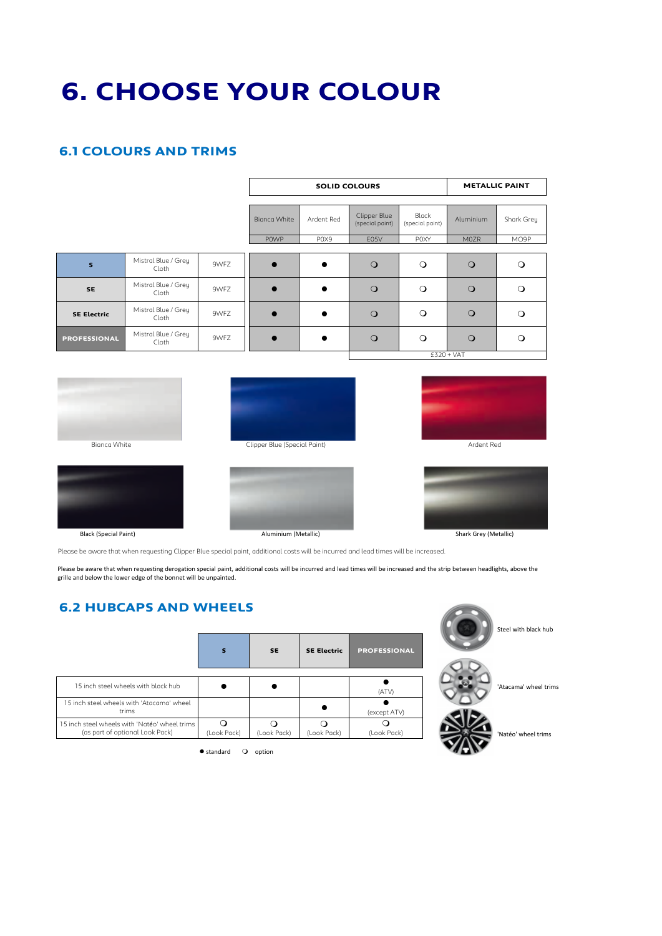# **6. CHOOSE YOUR COLOUR**

### **6.1 COLOURS AND TRIMS**

|                     |                              |      |                     | <b>SOLID COLOURS</b> |                                 | <b>METALLIC PAINT</b>    |              |            |  |
|---------------------|------------------------------|------|---------------------|----------------------|---------------------------------|--------------------------|--------------|------------|--|
|                     |                              |      | <b>Bignca White</b> | Ardent Red           | Clipper Blue<br>(special paint) | Black<br>(special paint) | Aluminium    | Shark Grey |  |
|                     |                              |      | <b>POWP</b>         | POX9                 | E05V                            | P0XY                     | M0ZR         | MO9P       |  |
| s                   | Mistral Blue / Grey<br>Cloth | 9WFZ |                     |                      | $\circ$                         | $\circ$                  | $\Omega$     | ∩          |  |
| <b>SE</b>           | Mistral Blue / Grey<br>Cloth | 9WFZ |                     |                      | $\circ$                         | $\circ$                  | $\circ$      | $\Omega$   |  |
| <b>SE Electric</b>  | Mistral Blue / Grey<br>Cloth | 9WFZ |                     |                      | $\circ$                         | $\circ$                  | $\circ$      | $\Omega$   |  |
| <b>PROFESSIONAL</b> | Mistral Blue / Grey<br>Cloth | 9WFZ |                     |                      | $\circ$                         | $\circ$                  | $\circ$      | $\Omega$   |  |
|                     |                              |      |                     |                      |                                 |                          | $£320 + VAT$ |            |  |









Black (Special Paint)

Aluminium (Metallic)

Shark Grey (Metallic)

Please be aware that when requesting Clipper Blue special paint, additional costs will be incurred and lead times will be increased.

Please be aware that when requesting derogation special paint, additional costs will be incurred and lead times will be increased and the strip between headlights, above the ricuse se amare that mich requesting acrogation special paint;

### **6.2 HUBCAPS AND WHEELS**

|                                                                                  | s           | <b>SE</b>   | <b>SE Electric</b> | <b>PROFESSIONAL</b> |
|----------------------------------------------------------------------------------|-------------|-------------|--------------------|---------------------|
| 15 inch steel wheels with black hub                                              |             |             |                    | (ATV)               |
| 15 inch steel wheels with 'Atacama' wheel<br>trims                               |             |             |                    | (except ATV)        |
| 15 inch steel wheels with 'Natéo' wheel trims<br>(as part of optional Look Pack) | (Look Pack) | (Look Pack) | (Look Pack)        | (Look Pack)         |



 $\bullet$  standard  $\bullet$  option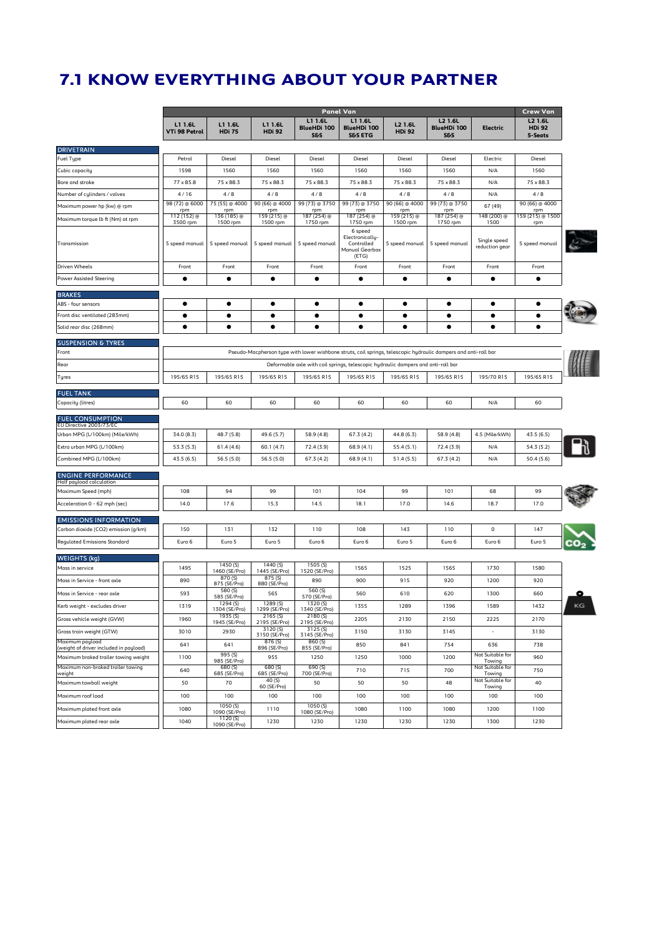### **7.1 KNOW EVERYTHING ABOUT YOUR PARTNER**

|                                                                      | <b>Panel Van</b><br>Crew Van |                            |                           |                                                 |                                                                    |                                                                                                                 |                                                        |                                |                                     |
|----------------------------------------------------------------------|------------------------------|----------------------------|---------------------------|-------------------------------------------------|--------------------------------------------------------------------|-----------------------------------------------------------------------------------------------------------------|--------------------------------------------------------|--------------------------------|-------------------------------------|
|                                                                      | L1 1.6L<br>VTi 98 Petrol     | L1 1.6L<br><b>HDi 75</b>   | L1 1.6L<br><b>HDi 92</b>  | L1 1.6L<br><b>BlueHDi 100</b><br><b>S&amp;S</b> | L1 1.6L<br><b>BlueHDi 100</b><br><b>S&amp;S ETG</b>                | L2 1.6L<br><b>HDi 92</b>                                                                                        | <b>L2 1.6L</b><br><b>BlueHDi 100</b><br><b>S&amp;S</b> | Electric                       | L2 1.6L<br><b>HDi 92</b><br>5-Seats |
| <b>DRIVETRAIN</b>                                                    |                              |                            |                           |                                                 |                                                                    |                                                                                                                 |                                                        |                                |                                     |
| Fuel Type                                                            | Petrol                       | Diesel                     | Diesel                    | Diesel                                          | Diesel                                                             | Diesel                                                                                                          | Diesel                                                 | Electric                       | Diesel                              |
| Cubic capacity                                                       | 1598                         | 1560                       | 1560                      | 1560                                            | 1560                                                               | 1560                                                                                                            | 1560                                                   | N/A                            | 1560                                |
| Bore and stroke                                                      | 77 x 85.8                    | 75 x 88.3                  | 75 x 88.3                 | $75 \times 88.3$                                | $75 \times 88.3$                                                   | 75 x 88.3                                                                                                       | 75 x 88.3                                              | N/A                            | 75 x 88.3                           |
| Number of cylinders / valves                                         | 4/16                         | 4/8                        | 4/8                       | 4/8                                             | 4/8                                                                | 4/8                                                                                                             | 4/8                                                    | N/A                            | 4/8                                 |
| Maximum power hp (kw) @ rpm                                          | 98 (72) @ 6000<br>rpm        | 75 (55) @ 4000<br>rpm      | 90 (66) @ 4000<br>rpm     | 99 (73) @ 3750<br>rpm                           | 99 (73) @ 3750<br>rpm                                              | 90 (66) @ 4000<br>rpm                                                                                           | 99 (73) @ 3750<br>rpm                                  | 67 (49)                        | 90 (66) @ 4000<br>rpm               |
| Maximum torque lb ft (Nm) at rpm                                     | 112 (152) @                  | 136 (185) @                | 159 (215) @<br>1500 rpm   | 187 (254) @                                     | 187 (254) @<br>1750 rpm                                            | 159 (215) @<br>1500 rpm                                                                                         | 187 (254) @                                            | 148 (200) @<br>1500            | 159 (215) @ 1500                    |
| Transmission                                                         | 3500 rpm<br>5 speed manual   | 1500 rpm<br>5 speed manual | 5 speed manual            | 1750 rpm<br>5 speed manual                      | 6 speed<br>Electronically<br>Controlled<br>Manual Gearbox<br>(ETG) | 5 speed manual                                                                                                  | 1750 rpm<br>5 speed manual                             | Single speed<br>reduction gear | rpm<br>5 speed manual               |
| Driven Wheels                                                        | Front                        | Front                      | Front                     | Front                                           | Front                                                              | Front                                                                                                           | Front                                                  | Front                          | Front                               |
| <b>Power Assisted Steering</b>                                       |                              | ٠                          | ٠                         | ٠                                               |                                                                    | ٠                                                                                                               | ٠                                                      | ٠                              | ٠                                   |
| <b>BRAKES</b>                                                        |                              |                            |                           |                                                 |                                                                    |                                                                                                                 |                                                        |                                |                                     |
| ABS - four sensors                                                   | ٠                            | ٠                          | ٠                         | ٠                                               | ٠                                                                  | ٠                                                                                                               | ٠                                                      | ٠                              |                                     |
| Front disc ventilated (283mm)                                        | ٠                            | ٠                          | ٠                         | ٠                                               | ٠                                                                  | ٠                                                                                                               | ٠                                                      | ٠                              | ٠                                   |
| Solid rear disc (268mm)                                              |                              | ٠                          | ٠                         | ٠                                               | ٠                                                                  | ٠                                                                                                               | ٠                                                      |                                | ٠                                   |
|                                                                      |                              |                            |                           |                                                 |                                                                    |                                                                                                                 |                                                        |                                |                                     |
| <b>SUSPENSION &amp; TYRES</b><br>Front                               |                              |                            |                           |                                                 |                                                                    | Pseudo-Macpherson type with lower wishbone struts, coil springs, telescopic hydraulic dampers and anti-roll bar |                                                        |                                |                                     |
| Rear                                                                 |                              |                            |                           |                                                 |                                                                    | Deformable axle with coil springs, telescopic hydraulic dampers and anti-roll bar                               |                                                        |                                |                                     |
| Tyres                                                                | 195/65 R15                   | 195/65 R15                 | 195/65 R15                | 195/65 R15                                      | 195/65 R15                                                         | 195/65 R15                                                                                                      | 195/65 R15                                             | 195/70 R15                     | 195/65 R15                          |
|                                                                      |                              |                            |                           |                                                 |                                                                    |                                                                                                                 |                                                        |                                |                                     |
| <b>FUEL TANK</b>                                                     |                              |                            |                           |                                                 |                                                                    |                                                                                                                 |                                                        |                                |                                     |
| Capacity (litres)                                                    | 60                           | 60                         | 60                        | 60                                              | 60                                                                 | 60                                                                                                              | 60                                                     | N/A                            | 60                                  |
| <b>FUEL CONSUMPTION</b>                                              |                              |                            |                           |                                                 |                                                                    |                                                                                                                 |                                                        |                                |                                     |
| EU Directive 2003/73/EC<br>Urban MPG (L/100km) (Mile/kWh)            | 34.0 (8.3)                   | 48.7 (5.8)                 | 49.6 (5.7)                | 58.9 (4.8)                                      | 67.3 (4.2)                                                         | 44.8 (6.3)                                                                                                      | 58.9 (4.8)                                             | 4.5 (Mile/kWh)                 | 43.5 (6.5)                          |
| Extra urban MPG (L/100km)                                            | 53.3 (5.3)                   | 61.4(4.6)                  | 60.1(4.7)                 | 72.4 (3.9)                                      | 68.9(4.1)                                                          | 55.4(5.1)                                                                                                       | 72.4 (3.9)                                             | N/A                            | 54.3(5.2)                           |
| Combined MPG (L/100km)                                               | 43.5(6.5)                    | 56.5(5.0)                  | 56.5 (5.0)                | 67.3(4.2)                                       | 68.9(4.1)                                                          | 51.4(5.5)                                                                                                       | 67.3(4.2)                                              | N/A                            | 50.4(5.6)                           |
|                                                                      |                              |                            |                           |                                                 |                                                                    |                                                                                                                 |                                                        |                                |                                     |
| <b>ENGINE PERFORMANCE</b><br>Half payload calculation                |                              |                            |                           |                                                 |                                                                    |                                                                                                                 |                                                        |                                |                                     |
| Maximum Speed (mph)                                                  | 108                          | 94                         | 99                        | 101                                             | 104                                                                | 99                                                                                                              | 101                                                    | 68                             | 99                                  |
| Acceleration 0 - 62 mph (sec)                                        | 14.0                         | 17.6                       | 15.3                      | 14.5                                            | 18.1                                                               | 17.0                                                                                                            | 14.6                                                   | 18.7                           | 17.0                                |
|                                                                      |                              |                            |                           |                                                 |                                                                    |                                                                                                                 |                                                        |                                |                                     |
| <b>EMISSIONS INFORMATION</b><br>Carbon dioxide (CO2) emission (g/km) | 150                          | 131                        | 132                       | 110                                             | 108                                                                | 143                                                                                                             | 110                                                    | 0                              | 147                                 |
| <b>Regulated Emissions Standard</b>                                  | Euro 6                       | Euro 5                     | Euro 5                    | Euro 6                                          | Euro 6                                                             | Euro 5                                                                                                          | Euro 6                                                 | Euro 6                         | Euro 5                              |
|                                                                      |                              |                            |                           |                                                 |                                                                    |                                                                                                                 |                                                        |                                |                                     |
| WEIGHTS (kg)                                                         |                              | 1450 (S)                   | 1440(S)                   | 1505 (S)                                        |                                                                    |                                                                                                                 |                                                        |                                |                                     |
| Mass in service                                                      | 1495                         | 1460 (SE/Pro)<br>870 (S)   | 1445 (SE/Pro)<br>875(S)   | 1520 (SE/Pro)                                   | 1565                                                               | 1525                                                                                                            | 1565                                                   | 1730                           | 1580                                |
| Mass in Service - front axle                                         | 890                          | 875 (SE/Pro)               | 880 (SE/Pro)              | 890                                             | 900                                                                | 915                                                                                                             | 920                                                    | 1200                           | 920                                 |
| Mass in Service - rear axle                                          | 593                          | 580 (S)<br>585 (SE/Pro)    | 565                       | 560 (S)<br>570 (SE/Pro)                         | 560                                                                | 610                                                                                                             | 620                                                    | 1300                           | 660                                 |
| Kerb weight - excludes driver                                        | 1319                         | 1294(S)<br>1304 (SE/Pro)   | 1289 (S)<br>1299 (SE/Pro) | 1320 (S)<br>1340 (SE/Pro)                       | 1355                                                               | 1289                                                                                                            | 1396                                                   | 1589                           | 1432                                |
| Gross vehicle weight (GVW)                                           | 1960                         | 1935 (S)<br>1945 (SE/Pro)  | 2165 (S)<br>2195 (SE/Pro) | 2180(5)<br>2195 (SE/Pro)                        | 2205                                                               | 2130                                                                                                            | 2150                                                   | 2225                           | 2170                                |
| Gross train weight (GTW)                                             | 3010                         | 2930                       | 3120(S)<br>3150 (SE/Pro)  | 3125(5)<br>3145 (SE/Pro)                        | 3150                                                               | 3130                                                                                                            | 3145                                                   |                                | 3130                                |
| Maximum payload<br>(weight of driver included in payload)            | 641                          | 641                        | 876 (S)<br>896 (SE/Pro)   | 860 (S)<br>855 (SE/Pro)                         | 850                                                                | 841                                                                                                             | 754                                                    | 636                            | 738                                 |
| Maximum braked trailer towing weight                                 | 1100                         | 995(S)<br>985 (SE/Pro)     | 955                       | 1250                                            | 1250                                                               | 1000                                                                                                            | 1200                                                   | Not Suitable for<br>Towing     | 960                                 |
| Maximum non-braked trailer towing                                    | 640                          | 680 (S)                    | 680 (S)                   | 690(5)                                          | 710                                                                | 715                                                                                                             | 700                                                    | Not Suitable for               | 750                                 |
| weight<br>Maximum towball weight                                     | 50                           | 685 (SE/Pro)<br>70         | 685 (SE/Pro)<br>40 (S)    | 700 (SE/Pro)<br>50                              | 50                                                                 | 50                                                                                                              | 48                                                     | Towing<br>Not Suitable for     | 40                                  |
| Maximum roof load                                                    |                              |                            | 60 (SE/Pro)<br>100        |                                                 |                                                                    |                                                                                                                 | 100                                                    | Towing                         | 100                                 |
|                                                                      | 100                          | 100<br>1050(S)             |                           | 100<br>$1050($ S)                               | 100                                                                | 100                                                                                                             |                                                        | 100                            |                                     |
| Maximum plated front axle                                            | 1080                         | 1090 (SE/Pro)<br>1120(S)   | 1110                      | 1080 (SE/Pro)                                   | 1080                                                               | 1100                                                                                                            | 1080                                                   | 1200                           | 1100                                |
| Maximum plated rear axle                                             | 1040                         | 1090 (SE/Pro)              | 1230                      | 1230                                            | 1230                                                               | 1230                                                                                                            | 1230                                                   | 1300                           | 1230                                |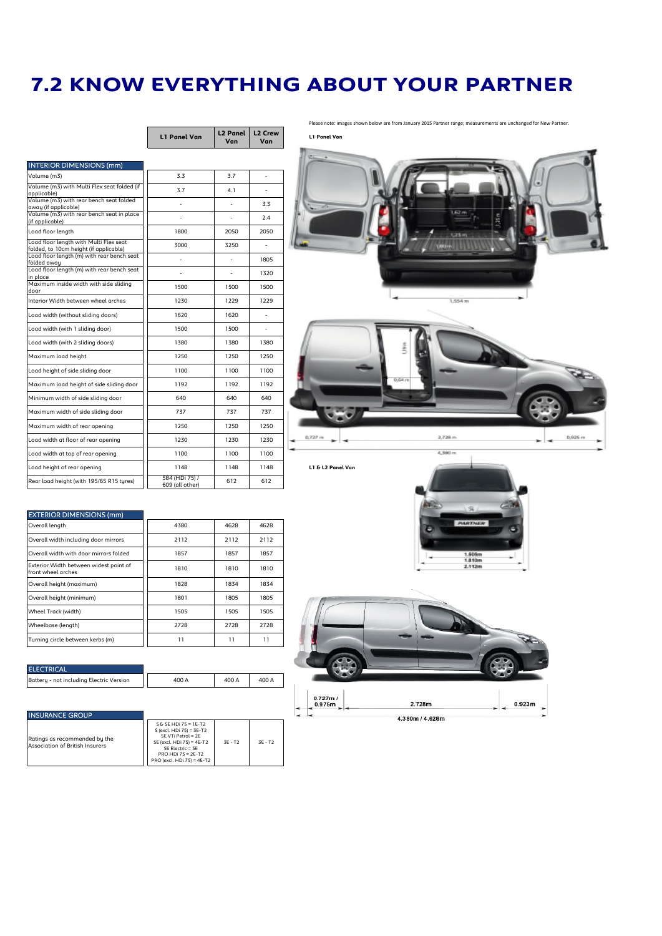## **7.2 KNOW EVERYTHING ABOUT YOUR PARTNER**

|                                                                                  | <b>L1 Panel Van</b>               | <b>L2 Panel</b><br>Van | L <sub>2</sub> Crew<br>Van |
|----------------------------------------------------------------------------------|-----------------------------------|------------------------|----------------------------|
|                                                                                  |                                   |                        |                            |
| <b>INTERIOR DIMENSIONS (mm)</b>                                                  |                                   |                        |                            |
| Volume (m3)                                                                      | 33                                | 3.7                    |                            |
| Volume (m3) with Multi Flex seat folded (if<br>applicable)                       | 3.7                               | 4.1                    |                            |
| Volume (m3) with rear bench seat folded<br>away (if applicable)                  |                                   | ä,                     | 3.3                        |
| Volume (m3) with rear bench seat in place<br>(if applicable)                     |                                   |                        | 2.4                        |
| Load floor length                                                                | 1800                              | 2050                   | 2050                       |
| Load floor length with Multi Flex seat<br>folded, to 10cm height (if applicable) | 3000                              | 3250                   |                            |
| Load floor length (m) with rear bench seat<br>folded away                        | ×,                                |                        | 1805                       |
| Load floor length (m) with rear bench seat<br>in place                           | ٠                                 | ٠                      | 1320                       |
| Maximum inside width with side sliding<br>door                                   | 1500                              | 1500                   | 1500                       |
| Interior Width between wheel arches                                              | 1230                              | 1229                   | 1229                       |
| Load width (without sliding doors)                                               | 1620                              | 1620                   |                            |
| Load width (with 1 sliding door)                                                 | 1500                              | 1500                   |                            |
| Load width (with 2 sliding doors)                                                | 1380                              | 1380                   | 1380                       |
| Maximum load height                                                              | 1250                              | 1250                   | 1250                       |
| Load height of side sliding door                                                 | 1100                              | 1100                   | 1100                       |
| Maximum load height of side sliding door                                         | 1192                              | 1192                   | 1192                       |
| Minimum width of side sliding door                                               | 640                               | 640                    | 640                        |
| Maximum width of side sliding door                                               | 737                               | 737                    | 737                        |
| Maximum width of rear opening                                                    | 1250                              | 1250                   | 1250                       |
| Load width at floor of rear opening                                              | 1230                              | 1230                   | 1230                       |
| Load width at top of rear opening                                                | 1100                              | 1100                   | 1100                       |
| Load height of rear opening                                                      | 1148                              | 1148                   | 1148                       |
| Rear load height (with 195/65 R15 tures)                                         | 584 (HDi 75) /<br>609 (all other) | 612                    | 612                        |

Please note: images shown below are from January 2015 Partner range; measurements are unchanged for New Partner.

**L1 Panel Van**



### EXTERIOR DIMENSIONS (mm)

| Overall length                                               | 4380 | 4628 | 4628 |
|--------------------------------------------------------------|------|------|------|
| Overall width including door mirrors                         | 2112 | 2112 | 2112 |
| Overall width with door mirrors folded                       | 1857 | 1857 | 1857 |
| Exterior Width between widest point of<br>front wheel arches | 1810 | 1810 | 1810 |
| Overall height (maximum)                                     | 1828 | 1834 | 1834 |
| Overall height (minimum)                                     | 1801 | 1805 | 1805 |
| Wheel Track (width)                                          | 1505 | 1505 | 1505 |
| Wheelbase (length)                                           | 2728 | 2728 | 2728 |
| Turning circle between kerbs (m)                             | 11   | 11   | 11   |

### **ELECTRICAL**

attery - not including Electric Version  $\begin{array}{|c|c|c|c|c|c|}\n\hline\n&400\text{\AA} & 400\text{\AA} & 400\text{\AA} \\
\hline\n\end{array}$ 

|          | 2.112m |  |
|----------|--------|--|
|          |        |  |
|          |        |  |
|          |        |  |
|          |        |  |
|          |        |  |
|          |        |  |
|          |        |  |
|          |        |  |
|          |        |  |
|          |        |  |
| 0.727m I |        |  |

### INSURANCE GROUP

|                                 | $S & SE$ HDi 75 = 1E-T2    |       | $3F - T2$ |
|---------------------------------|----------------------------|-------|-----------|
|                                 | S (excl. HDi 75) = 3E-T2   |       |           |
| Ratinas as recommended bu the   | SE VTi Petrol = 2E         |       |           |
|                                 | SE (excl. HDi 75) = 4E-T2  | 3F-T2 |           |
| Association of British Insurers | SE Electric = 5E           |       |           |
|                                 | PRO HDi $75 = 2E - T2$     |       |           |
|                                 | PRO (excl. HDi 75) = 4E-T2 |       |           |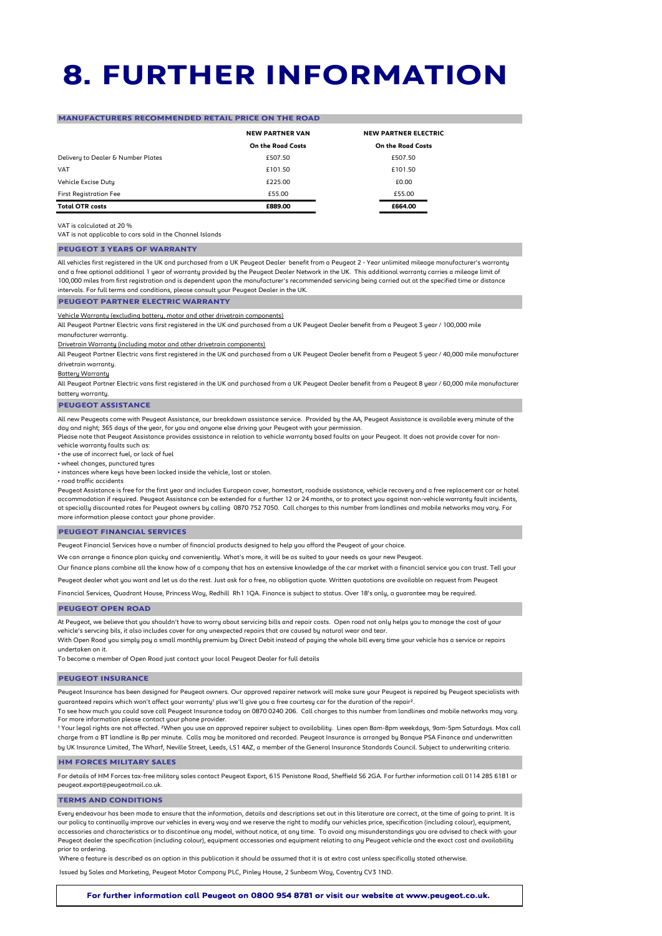# **8. FURTHER INFORMATION**

### **MANUFACTURERS RECOMMENDED RETAIL PRICE ON THE ROAD**

|                                    | <b>NEW PARTNER VAN</b> | <b>NEW PARTNER ELECTRIC</b> |  |
|------------------------------------|------------------------|-----------------------------|--|
|                                    | On the Road Costs      | On the Road Costs           |  |
| Delivery to Dealer & Number Plates | £507.50                | £507.50                     |  |
| <b>VAT</b>                         | £101.50                | £101.50                     |  |
| Vehicle Excise Dutu                | £225.00                | £0.00                       |  |
| <b>First Registration Fee</b>      | £55.00                 | £55.00                      |  |
| <b>Total OTR costs</b>             | £889.00                | £664.00                     |  |

### VAT is calculated at 20 %

VAT is not applicable to cars sold in the Channel Islands

### **PEUGEOT 3 YEARS OF WARRANTY**

All vehicles first registered in the UK and purchased from a UK Peugeot Dealer benefit from a Peugeot 2 - Year unlimited mileage manufacturer's warranty and a free optional additional 1 year of warranty provided by the Peugeot Dealer Network in the UK. This additional warranty carries a mileage limit of 100,000 miles from first registration and is dependent upon the manufacturer's recommended servicing being carried out at the specified time or distance intervals. For full terms and conditions, please consult your Peugeot Dealer in the UK.

### **PEUGEOT PARTNER ELECTRIC WARRANTY**

Vehicle Warranty (excluding battery, motor and other drivetrain components)

All Peugeot Partner Electric vans first registered in the UK and purchased from a UK Peugeot Dealer benefit from a Peugeot 3 year / 100,000 mile manufacturer warranty.

Drivetrain Warranty (including motor and other drivetrain components)

All Peugeot Partner Electric vans first registered in the UK and purchased from a UK Peugeot Dealer benefit from a Peugeot 5 year / 40,000 mile manufacturer drivetrain warranty.

Battery Warranty

All Peugeot Partner Electric vans first registered in the UK and purchased from a UK Peugeot Dealer benefit from a Peugeot 8 year / 60,000 mile manufacturer battery warranty.

#### **PEUGEOT ASSISTANCE**

All new Peugeots come with Peugeot Assistance, our breakdown assistance service. Provided by the AA, Peugeot Assistance is available every minute of the day and night; 365 days of the year, for you and anyone else driving your Peugeot with your permission.

Please note that Peugeot Assistance provides assistance in relation to vehicle warranty based faults on your Peugeot. It does not provide cover for nonvehicle warranty faults such as:

• the use of incorrect fuel, or lack of fuel

• wheel changes, punctured tyres

• instances where keys have been locked inside the vehicle, lost or stolen.

• road traffic accidents

Peugeot Assistance is free for the first year and includes European cover, homestart, roadside assistance, vehicle recovery and a free replacement car or hotel accommodation if required. Peugeot Assistance can be extended for a further 12 or 24 months, or to protect you against non-vehicle warranty fault incidents, at specially discounted rates for Peugeot owners by calling 0870 752 7050. Call charges to this number from landlines and mobile networks may vary. For more information please contact your phone provider.

#### **PEUGEOT FINANCIAL SERVICES**

Peugeot Financial Services have a number of financial products designed to help you afford the Peugeot of your choice.

We can arrange a finance plan quicky and conveniently. What's more, it will be as suited to your needs as your new Peugeot

Our finance plans combine all the know how of a company that has an extensive knowledge of the car market with a financial service you can trust. Tell your

Peugeot dealer what you want and let us do the rest. Just ask for a free, no obligation quote. Written quotations are available on request from Peugeot

Financial Services, Quadrant House, Princess Way, Redhill Rh1 1QA. Finance is subject to status. Over 18's only, a guarantee may be required.

#### **PEUGEOT OPEN ROAD**

At Peugeot, we believe that you shouldn't have to worry about servicing bills and repair costs. Open road not only helps you to manage the cost of your vehicle's servcing bils, it also includes cover for any unexpected repairs that are caused by natural wear and tear.

With Open Road you simply pay a small monthly premium by Direct Debit instead of paying the whole bill every time your vehicle has a service or repairs undertaken on it.

To become a member of Open Road just contact your local Peugeot Dealer for full details

#### **PEUGEOT INSURANCE**

Peugeot Insurance has been designed for Peugeot owners. Our approved repairer network will make sure your Peugeot is repaired by Peugeot specialists with guaranteed repairs which won't affect your warranty<sup>1</sup> plus we'll give you a free courtesy car for the duration of the repair<sup>2</sup>.

To see how much you could save call Peugeot Insurance today on 0870 0240 206. Call charges to this number from landlines and mobile networks may vary. For more information please contact your phone provider.

¹ Your legal rights are not affected. ²When you use an approved repairer subject to availability. Lines open 8am-8pm weekdays, 9am-5pm Saturdays. Max call charge from a BT landline is 8p per minute. Calls may be monitored and recorded. Peugeot Insurance is arranged by Banque PSA Finance and underwritten by UK Insurance Limited, The Wharf, Neville Street, Leeds, LS1 4AZ, a member of the General Insurance Standards Council. Subject to underwriting criteria.

#### **HM FORCES MILITARY SALES**

For details of HM Forces tax-free military sales contact Peugeot Export, 615 Penistone Road, Sheffield S6 2GA. For further information call 0114 285 6181 or peugeot.export@peugeotmail.co.uk.

#### **TERMS AND CONDITIONS**

Every endeavour has been made to ensure that the information, details and descriptions set out in this literature are correct, at the time of going to print. It is our policy to continually improve our vehicles in every way and we reserve the right to modify our vehicles price, specification (including colour), equipment, accessories and characteristics or to discontinue any model, without notice, at any time. To avoid any misunderstandings you are advised to check with your Peugeot dealer the specification (including colour), equipment accessories and equipment relating to any Peugeot vehicle and the exact cost and availability prior to ordering.

Where a feature is described as an option in this publication it should be assumed that it is at extra cost unless specifically stated otherwise

Issued by Sales and Marketing, Peugeot Motor Company PLC, Pinley House, 2 Sunbeam Way, Coventry CV3 1ND.